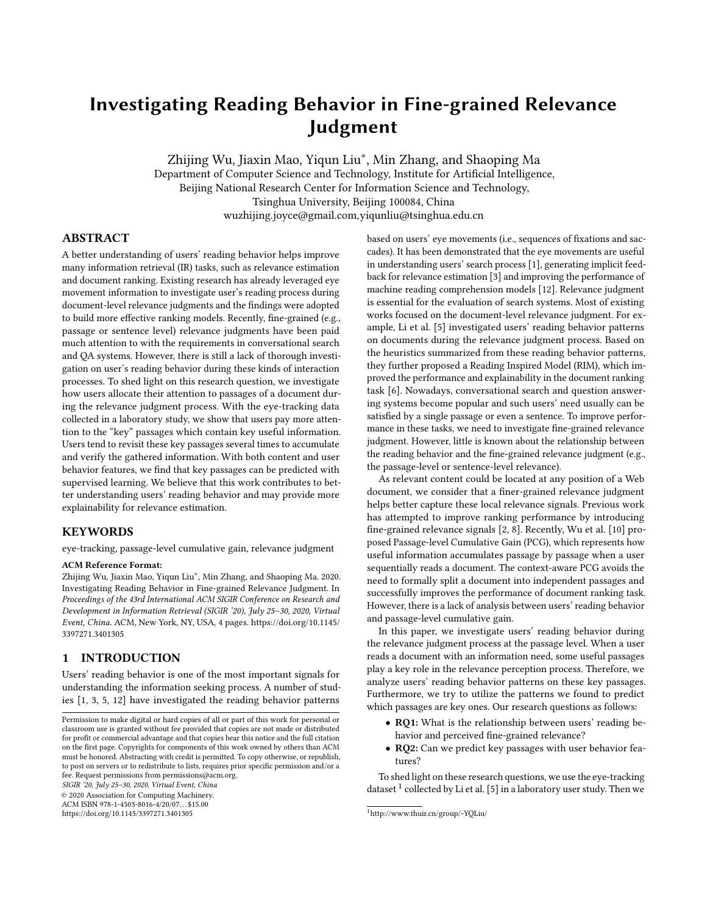# <span id="page-0-0"></span>Investigating Reading Behavior in Fine-grained Relevance Judgment

Zhijing Wu, Jiaxin Mao, Yiqun Liu<sup>∗</sup> , Min Zhang, and Shaoping Ma

Department of Computer Science and Technology, Institute for Artificial Intelligence, Beijing National Research Center for Information Science and Technology, Tsinghua University, Beijing 100084, China wuzhijing.joyce@gmail.com,yiqunliu@tsinghua.edu.cn

# ABSTRACT

A better understanding of users' reading behavior helps improve many information retrieval (IR) tasks, such as relevance estimation and document ranking. Existing research has already leveraged eye movement information to investigate user's reading process during document-level relevance judgments and the findings were adopted to build more effective ranking models. Recently, fine-grained (e.g., passage or sentence level) relevance judgments have been paid much attention to with the requirements in conversational search and QA systems. However, there is still a lack of thorough investigation on user's reading behavior during these kinds of interaction processes. To shed light on this research question, we investigate how users allocate their attention to passages of a document during the relevance judgment process. With the eye-tracking data collected in a laboratory study, we show that users pay more attention to the "key" passages which contain key useful information. Users tend to revisit these key passages several times to accumulate and verify the gathered information. With both content and user behavior features, we find that key passages can be predicted with supervised learning. We believe that this work contributes to better understanding users' reading behavior and may provide more explainability for relevance estimation.

## **KEYWORDS**

eye-tracking, passage-level cumulative gain, relevance judgment

#### ACM Reference Format:

Zhijing Wu, Jiaxin Mao, Yiqun Liu<sup>∗</sup> , Min Zhang, and Shaoping Ma. 2020. Investigating Reading Behavior in Fine-grained Relevance Judgment. In Proceedings of the 43rd International ACM SIGIR Conference on Research and Development in Information Retrieval (SIGIR '20), July 25–30, 2020, Virtual Event, China. ACM, New York, NY, USA, [4](#page-3-0) pages. [https://doi.org/10.1145/](https://doi.org/10.1145/3397271.3401305) [3397271.3401305](https://doi.org/10.1145/3397271.3401305)

## 1 INTRODUCTION

Users' reading behavior is one of the most important signals for understanding the information seeking process. A number of studies [\[1,](#page-3-1) [3,](#page-3-2) [5,](#page-3-3) [12\]](#page-3-4) have investigated the reading behavior patterns

SIGIR '20, July 25–30, 2020, Virtual Event, China

© 2020 Association for Computing Machinery.

ACM ISBN 978-1-4503-8016-4/20/07. . . \$15.00

<https://doi.org/10.1145/3397271.3401305>

based on users' eye movements (i.e., sequences of fixations and saccades). It has been demonstrated that the eye movements are useful in understanding users' search process [\[1\]](#page-3-1), generating implicit feedback for relevance estimation [\[3\]](#page-3-2) and improving the performance of machine reading comprehension models [\[12\]](#page-3-4). Relevance judgment is essential for the evaluation of search systems. Most of existing works focused on the document-level relevance judgment. For example, Li et al. [\[5\]](#page-3-3) investigated users' reading behavior patterns on documents during the relevance judgment process. Based on the heuristics summarized from these reading behavior patterns, they further proposed a Reading Inspired Model (RIM), which improved the performance and explainability in the document ranking task [\[6\]](#page-3-5). Nowadays, conversational search and question answering systems become popular and such users' need usually can be satisfied by a single passage or even a sentence. To improve performance in these tasks, we need to investigate fine-grained relevance judgment. However, little is known about the relationship between the reading behavior and the fine-grained relevance judgment (e.g., the passage-level or sentence-level relevance).

As relevant content could be located at any position of a Web document, we consider that a finer-grained relevance judgment helps better capture these local relevance signals. Previous work has attempted to improve ranking performance by introducing fine-grained relevance signals [\[2,](#page-3-6) [8\]](#page-3-7). Recently, Wu et al. [\[10\]](#page-3-8) proposed Passage-level Cumulative Gain (PCG), which represents how useful information accumulates passage by passage when a user sequentially reads a document. The context-aware PCG avoids the need to formally split a document into independent passages and successfully improves the performance of document ranking task. However, there is a lack of analysis between users' reading behavior and passage-level cumulative gain.

In this paper, we investigate users' reading behavior during the relevance judgment process at the passage level. When a user reads a document with an information need, some useful passages play a key role in the relevance perception process. Therefore, we analyze users' reading behavior patterns on these key passages. Furthermore, we try to utilize the patterns we found to predict which passages are key ones. Our research questions as follows:

- RQ1: What is the relationship between users' reading behavior and perceived fine-grained relevance?
- RQ2: Can we predict key passages with user behavior features?

To shed light on these research questions, we use the eye-tracking dataset  $^1$  collected by Li et al. [\[5\]](#page-3-3) in a laboratory user study. Then we

Permission to make digital or hard copies of all or part of this work for personal or classroom use is granted without fee provided that copies are not made or distributed for profit or commercial advantage and that copies bear this notice and the full citation on the first page. Copyrights for components of this work owned by others than ACM must be honored. Abstracting with credit is permitted. To copy otherwise, or republish, to post on servers or to redistribute to lists, requires prior specific permission and/or a fee. Request permissions from permissions@acm.org.

<sup>1</sup><http://www.thuir.cn/group/~YQLiu/>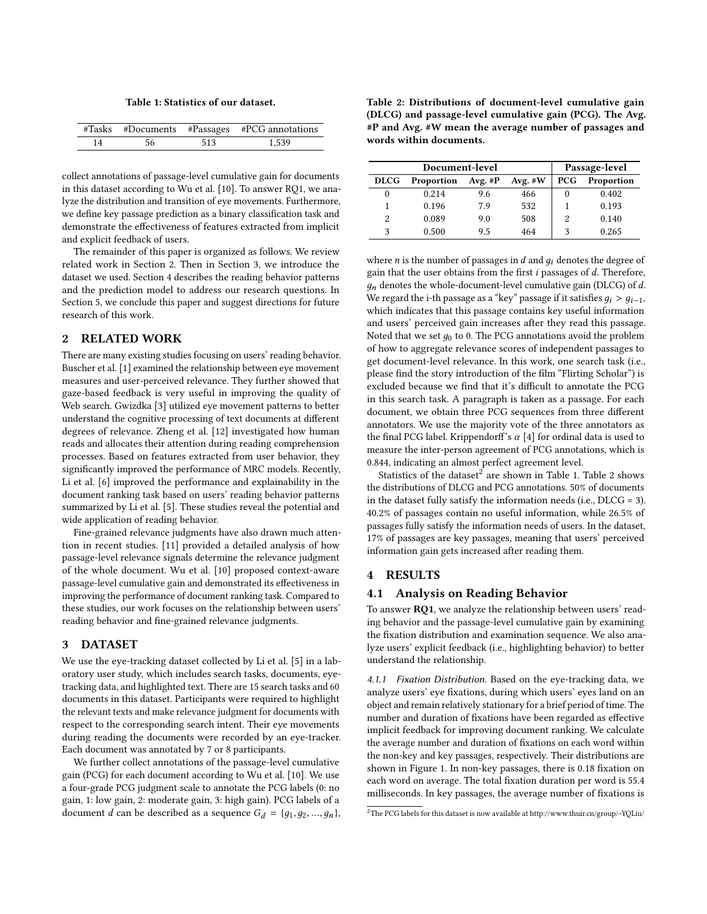Table 1: Statistics of our dataset.

<span id="page-1-0"></span>

|    |    |     | #Tasks #Documents #Passages #PCG annotations |
|----|----|-----|----------------------------------------------|
| 14 | 56 | 513 | 1.539                                        |

collect annotations of passage-level cumulative gain for documents in this dataset according to Wu et al. [\[10\]](#page-3-8). To answer RQ1, we analyze the distribution and transition of eye movements. Furthermore, we define key passage prediction as a binary classification task and demonstrate the effectiveness of features extracted from implicit and explicit feedback of users.

The remainder of this paper is organized as follows. We review related work in Section 2. Then in Section 3, we introduce the dataset we used. Section 4 describes the reading behavior patterns and the prediction model to address our research questions. In Section 5, we conclude this paper and suggest directions for future research of this work.

## 2 RELATED WORK

There are many existing studies focusing on users' reading behavior. Buscher et al. [\[1\]](#page-3-1) examined the relationship between eye movement measures and user-perceived relevance. They further showed that gaze-based feedback is very useful in improving the quality of Web search. Gwizdka [\[3\]](#page-3-2) utilized eye movement patterns to better understand the cognitive processing of text documents at different degrees of relevance. Zheng et al. [\[12\]](#page-3-4) investigated how human reads and allocates their attention during reading comprehension processes. Based on features extracted from user behavior, they significantly improved the performance of MRC models. Recently, Li et al. [\[6\]](#page-3-5) improved the performance and explainability in the document ranking task based on users' reading behavior patterns summarized by Li et al. [\[5\]](#page-3-3). These studies reveal the potential and wide application of reading behavior.

Fine-grained relevance judgments have also drawn much attention in recent studies. [\[11\]](#page-3-9) provided a detailed analysis of how passage-level relevance signals determine the relevance judgment of the whole document. Wu et al. [\[10\]](#page-3-8) proposed context-aware passage-level cumulative gain and demonstrated its effectiveness in improving the performance of document ranking task. Compared to these studies, our work focuses on the relationship between users' reading behavior and fine-grained relevance judgments.

## 3 DATASET

We use the eye-tracking dataset collected by Li et al. [\[5\]](#page-3-3) in a laboratory user study, which includes search tasks, documents, eyetracking data, and highlighted text. There are 15 search tasks and 60 documents in this dataset. Participants were required to highlight the relevant texts and make relevance judgment for documents with respect to the corresponding search intent. Their eye movements during reading the documents were recorded by an eye-tracker. Each document was annotated by 7 or 8 participants.

We further collect annotations of the passage-level cumulative gain (PCG) for each document according to Wu et al. [\[10\]](#page-3-8). We use a four-grade PCG judgment scale to annotate the PCG labels (0: no gain, 1: low gain, 2: moderate gain, 3: high gain). PCG labels of a document *d* can be described as a sequence  $G_d = \{g_1, g_2, ..., g_n\},\$ 

<span id="page-1-1"></span>Table 2: Distributions of document-level cumulative gain (DLCG) and passage-level cumulative gain (PCG). The Avg. #P and Avg. #W mean the average number of passages and words within documents.

| Document-level |            |            |           | Passage-level |            |
|----------------|------------|------------|-----------|---------------|------------|
| <b>DLCG</b>    | Proportion | Avg. $\#P$ | Avg. $#W$ | <b>PCG</b>    | Proportion |
|                | 0.214      | 9.6        | 466       | 0             | 0.402      |
|                | 0.196      | 7.9        | 532       |               | 0.193      |
| 2              | 0.089      | 9.0        | 508       | 2             | 0.140      |
| 3              | 0.500      | 9.5        | 464       | 3             | 0.265      |

where  $n$  is the number of passages in  $d$  and  $g_i$  denotes the degree of gain that the user obtains from the first  $i$  passages of  $d$ . Therefore,  $q_n$  denotes the whole-document-level cumulative gain (DLCG) of d. We regard the i-th passage as a "key" passage if it satisfies  $g_i > g_{i-1}$ , which indicates that this passage contains key useful information and users' perceived gain increases after they read this passage. Noted that we set  $g_0$  to 0. The PCG annotations avoid the problem of how to aggregate relevance scores of independent passages to get document-level relevance. In this work, one search task (i.e., please find the story introduction of the film "Flirting Scholar") is excluded because we find that it's difficult to annotate the PCG in this search task. A paragraph is taken as a passage. For each document, we obtain three PCG sequences from three different annotators. We use the majority vote of the three annotators as the final PCG label. Krippendorff's  $\alpha$  [\[4\]](#page-3-10) for ordinal data is used to measure the inter-person agreement of PCG annotations, which is 0.844, indicating an almost perfect agreement level.

Statistics of the dataset $^2$  $^2$  are shown in Table [1.](#page-1-0) Table [2](#page-1-1) shows the distributions of DLCG and PCG annotations. 50% of documents in the dataset fully satisfy the information needs (i.e., DLCG = 3). 40.2% of passages contain no useful information, while 26.5% of passages fully satisfy the information needs of users. In the dataset, 17% of passages are key passages, meaning that users' perceived information gain gets increased after reading them.

## 4 RESULTS

#### 4.1 Analysis on Reading Behavior

To answer RQ1, we analyze the relationship between users' reading behavior and the passage-level cumulative gain by examining the fixation distribution and examination sequence. We also analyze users' explicit feedback (i.e., highlighting behavior) to better understand the relationship.

4.1.1 Fixation Distribution. Based on the eye-tracking data, we analyze users' eye fixations, during which users' eyes land on an object and remain relatively stationary for a brief period of time. The number and duration of fixations have been regarded as effective implicit feedback for improving document ranking. We calculate the average number and duration of fixations on each word within the non-key and key passages, respectively. Their distributions are shown in Figure [1.](#page-2-0) In non-key passages, there is 0.18 fixation on each word on average. The total fixation duration per word is 55.4 milliseconds. In key passages, the average number of fixations is

<sup>2</sup>The PCG labels for this dataset is now available at<http://www.thuir.cn/group/~YQLiu/>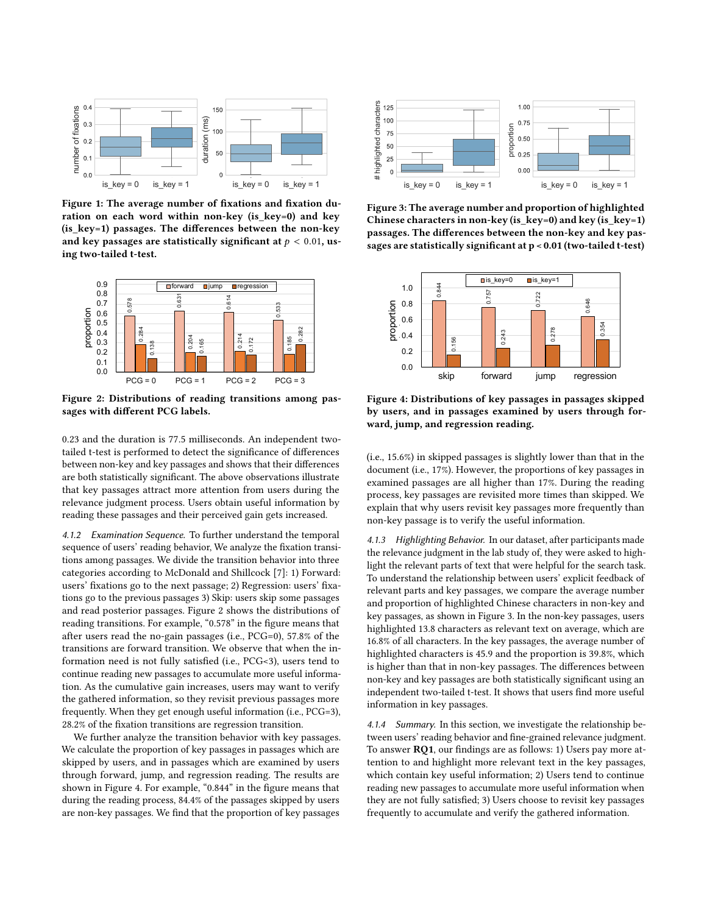<span id="page-2-0"></span>

Figure 1: The average number of fixations and fixation duration on each word within non-key (is\_key=0) and key (is  $key=1$ ) passages. The differences between the non-key and key passages are statistically significant at  $p < 0.01$ , using two-tailed t-test.

<span id="page-2-1"></span>

Figure 2: Distributions of reading transitions among passages with different PCG labels.

0.23 and the duration is 77.5 milliseconds. An independent twotailed t-test is performed to detect the significance of differences between non-key and key passages and shows that their differences are both statistically significant. The above observations illustrate that key passages attract more attention from users during the relevance judgment process. Users obtain useful information by reading these passages and their perceived gain gets increased.

4.1.2 Examination Sequence. To further understand the temporal sequence of users' reading behavior, We analyze the fixation transitions among passages. We divide the transition behavior into three categories according to McDonald and Shillcock [\[7\]](#page-3-11): 1) Forward: users' fixations go to the next passage; 2) Regression: users' fixations go to the previous passages 3) Skip: users skip some passages and read posterior passages. Figure [2](#page-2-1) shows the distributions of reading transitions. For example, "0.578" in the figure means that after users read the no-gain passages (i.e., PCG=0), 57.8% of the transitions are forward transition. We observe that when the information need is not fully satisfied (i.e., PCG<3), users tend to continue reading new passages to accumulate more useful information. As the cumulative gain increases, users may want to verify the gathered information, so they revisit previous passages more frequently. When they get enough useful information (i.e., PCG=3), 28.2% of the fixation transitions are regression transition.

We further analyze the transition behavior with key passages. We calculate the proportion of key passages in passages which are skipped by users, and in passages which are examined by users through forward, jump, and regression reading. The results are shown in Figure [4.](#page-2-2) For example, "0.844" in the figure means that during the reading process, 84.4% of the passages skipped by users are non-key passages. We find that the proportion of key passages

<span id="page-2-3"></span>

Figure 3: The average number and proportion of highlighted Chinese characters in non-key (is\_key=0) and key (is\_key=1) passages. The differences between the non-key and key passages are statistically significant at  $p < 0.01$  (two-tailed t-test)

<span id="page-2-2"></span>

Figure 4: Distributions of key passages in passages skipped by users, and in passages examined by users through forward, jump, and regression reading.

(i.e., 15.6%) in skipped passages is slightly lower than that in the document (i.e., 17%). However, the proportions of key passages in examined passages are all higher than 17%. During the reading process, key passages are revisited more times than skipped. We explain that why users revisit key passages more frequently than non-key passage is to verify the useful information.

4.1.3 Highlighting Behavior. In our dataset, after participants made the relevance judgment in the lab study of, they were asked to highlight the relevant parts of text that were helpful for the search task. To understand the relationship between users' explicit feedback of relevant parts and key passages, we compare the average number and proportion of highlighted Chinese characters in non-key and key passages, as shown in Figure [3.](#page-2-3) In the non-key passages, users highlighted 13.8 characters as relevant text on average, which are 16.8% of all characters. In the key passages, the average number of highlighted characters is 45.9 and the proportion is 39.8%, which is higher than that in non-key passages. The differences between non-key and key passages are both statistically significant using an independent two-tailed t-test. It shows that users find more useful information in key passages.

4.1.4 Summary. In this section, we investigate the relationship between users' reading behavior and fine-grained relevance judgment. To answer RQ1, our findings are as follows: 1) Users pay more attention to and highlight more relevant text in the key passages, which contain key useful information; 2) Users tend to continue reading new passages to accumulate more useful information when they are not fully satisfied; 3) Users choose to revisit key passages frequently to accumulate and verify the gathered information.